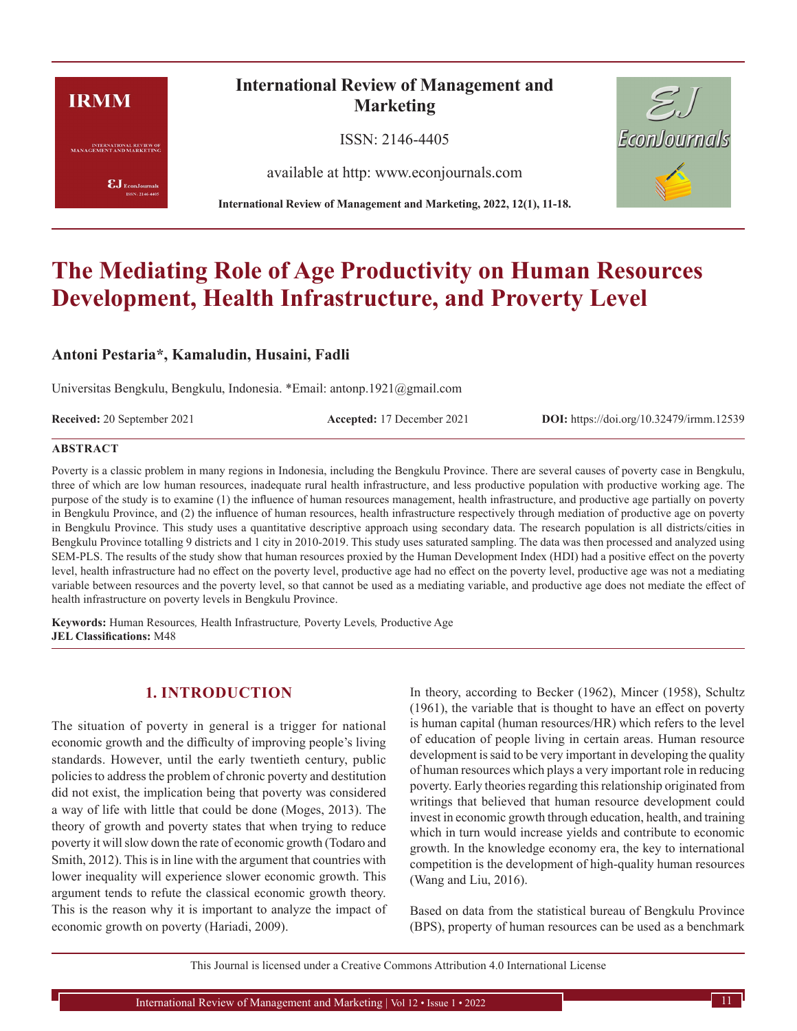# **IRMM**

**INTERNATIONAL REVIEW OF**<br>MANAGEMENT AND MARKETING

 $\pmb{\text{EJ}}$ EconJournals SSN: 2146-4405

# **International Review of Management and Marketing**

ISSN: 2146-4405

available at http: www.econjournals.com

**International Review of Management and Marketing, 2022, 12(1), 11-18.**



# **The Mediating Role of Age Productivity on Human Resources Development, Health Infrastructure, and Proverty Level**

**Antoni Pestaria\*, Kamaludin, Husaini, Fadli**

Universitas Bengkulu, Bengkulu, Indonesia. \*Email: antonp.1921@gmail.com

**Received:** 20 September 2021 **Accepted:** 17 December 2021 **DOI:** https://doi.org/10.32479/irmm.12539

#### **ABSTRACT**

Poverty is a classic problem in many regions in Indonesia, including the Bengkulu Province. There are several causes of poverty case in Bengkulu, three of which are low human resources, inadequate rural health infrastructure, and less productive population with productive working age. The purpose of the study is to examine (1) the influence of human resources management, health infrastructure, and productive age partially on poverty in Bengkulu Province, and (2) the influence of human resources, health infrastructure respectively through mediation of productive age on poverty in Bengkulu Province. This study uses a quantitative descriptive approach using secondary data. The research population is all districts/cities in Bengkulu Province totalling 9 districts and 1 city in 2010-2019. This study uses saturated sampling. The data was then processed and analyzed using SEM-PLS. The results of the study show that human resources proxied by the Human Development Index (HDI) had a positive effect on the poverty level, health infrastructure had no effect on the poverty level, productive age had no effect on the poverty level, productive age was not a mediating variable between resources and the poverty level, so that cannot be used as a mediating variable, and productive age does not mediate the effect of health infrastructure on poverty levels in Bengkulu Province.

**Keywords:** Human Resources*,* Health Infrastructure*,* Poverty Levels*,* Productive Age **JEL Classifications:** M48

## **1. INTRODUCTION**

The situation of poverty in general is a trigger for national economic growth and the difficulty of improving people's living standards. However, until the early twentieth century, public policies to address the problem of chronic poverty and destitution did not exist, the implication being that poverty was considered a way of life with little that could be done (Moges, 2013). The theory of growth and poverty states that when trying to reduce poverty it will slow down the rate of economic growth (Todaro and Smith, 2012). This is in line with the argument that countries with lower inequality will experience slower economic growth. This argument tends to refute the classical economic growth theory. This is the reason why it is important to analyze the impact of economic growth on poverty (Hariadi, 2009).

In theory, according to Becker (1962), Mincer (1958), Schultz (1961), the variable that is thought to have an effect on poverty is human capital (human resources/HR) which refers to the level of education of people living in certain areas. Human resource development is said to be very important in developing the quality of human resources which plays a very important role in reducing poverty. Early theories regarding this relationship originated from writings that believed that human resource development could invest in economic growth through education, health, and training which in turn would increase yields and contribute to economic growth. In the knowledge economy era, the key to international competition is the development of high-quality human resources (Wang and Liu, 2016).

Based on data from the statistical bureau of Bengkulu Province (BPS), property of human resources can be used as a benchmark

This Journal is licensed under a Creative Commons Attribution 4.0 International License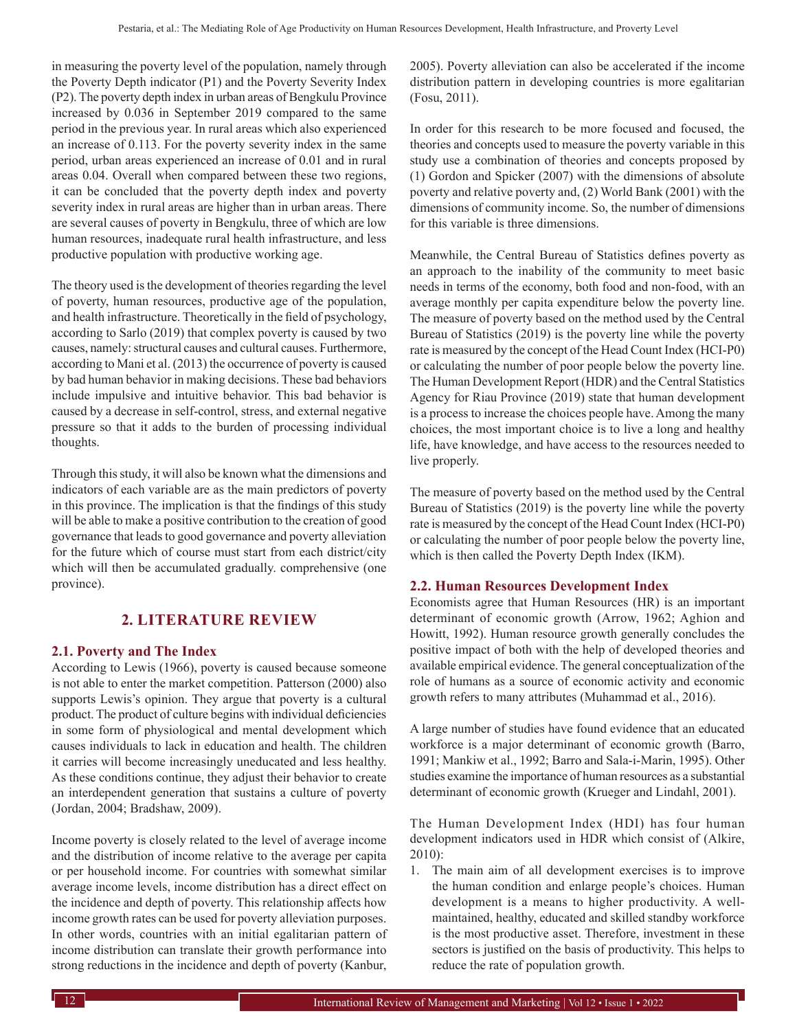in measuring the poverty level of the population, namely through the Poverty Depth indicator (P1) and the Poverty Severity Index (P2). The poverty depth index in urban areas of Bengkulu Province increased by 0.036 in September 2019 compared to the same period in the previous year. In rural areas which also experienced an increase of 0.113. For the poverty severity index in the same period, urban areas experienced an increase of 0.01 and in rural areas 0.04. Overall when compared between these two regions, it can be concluded that the poverty depth index and poverty severity index in rural areas are higher than in urban areas. There are several causes of poverty in Bengkulu, three of which are low human resources, inadequate rural health infrastructure, and less productive population with productive working age.

The theory used is the development of theories regarding the level of poverty, human resources, productive age of the population, and health infrastructure. Theoretically in the field of psychology, according to Sarlo (2019) that complex poverty is caused by two causes, namely: structural causes and cultural causes. Furthermore, according to Mani et al. (2013) the occurrence of poverty is caused by bad human behavior in making decisions. These bad behaviors include impulsive and intuitive behavior. This bad behavior is caused by a decrease in self-control, stress, and external negative pressure so that it adds to the burden of processing individual thoughts.

Through this study, it will also be known what the dimensions and indicators of each variable are as the main predictors of poverty in this province. The implication is that the findings of this study will be able to make a positive contribution to the creation of good governance that leads to good governance and poverty alleviation for the future which of course must start from each district/city which will then be accumulated gradually. comprehensive (one province).

## **2. LITERATURE REVIEW**

## **2.1. Poverty and The Index**

According to Lewis (1966), poverty is caused because someone is not able to enter the market competition. Patterson (2000) also supports Lewis's opinion. They argue that poverty is a cultural product. The product of culture begins with individual deficiencies in some form of physiological and mental development which causes individuals to lack in education and health. The children it carries will become increasingly uneducated and less healthy. As these conditions continue, they adjust their behavior to create an interdependent generation that sustains a culture of poverty (Jordan, 2004; Bradshaw, 2009).

Income poverty is closely related to the level of average income and the distribution of income relative to the average per capita or per household income. For countries with somewhat similar average income levels, income distribution has a direct effect on the incidence and depth of poverty. This relationship affects how income growth rates can be used for poverty alleviation purposes. In other words, countries with an initial egalitarian pattern of income distribution can translate their growth performance into strong reductions in the incidence and depth of poverty (Kanbur,

2005). Poverty alleviation can also be accelerated if the income distribution pattern in developing countries is more egalitarian (Fosu, 2011).

In order for this research to be more focused and focused, the theories and concepts used to measure the poverty variable in this study use a combination of theories and concepts proposed by (1) Gordon and Spicker (2007) with the dimensions of absolute poverty and relative poverty and, (2) World Bank (2001) with the dimensions of community income. So, the number of dimensions for this variable is three dimensions.

Meanwhile, the Central Bureau of Statistics defines poverty as an approach to the inability of the community to meet basic needs in terms of the economy, both food and non-food, with an average monthly per capita expenditure below the poverty line. The measure of poverty based on the method used by the Central Bureau of Statistics (2019) is the poverty line while the poverty rate is measured by the concept of the Head Count Index (HCI-P0) or calculating the number of poor people below the poverty line. The Human Development Report (HDR) and the Central Statistics Agency for Riau Province (2019) state that human development is a process to increase the choices people have. Among the many choices, the most important choice is to live a long and healthy life, have knowledge, and have access to the resources needed to live properly.

The measure of poverty based on the method used by the Central Bureau of Statistics (2019) is the poverty line while the poverty rate is measured by the concept of the Head Count Index (HCI-P0) or calculating the number of poor people below the poverty line, which is then called the Poverty Depth Index (IKM).

## **2.2. Human Resources Development Index**

Economists agree that Human Resources (HR) is an important determinant of economic growth (Arrow, 1962; Aghion and Howitt, 1992). Human resource growth generally concludes the positive impact of both with the help of developed theories and available empirical evidence. The general conceptualization of the role of humans as a source of economic activity and economic growth refers to many attributes (Muhammad et al., 2016).

A large number of studies have found evidence that an educated workforce is a major determinant of economic growth (Barro, 1991; Mankiw et al., 1992; Barro and Sala-i-Marin, 1995). Other studies examine the importance of human resources as a substantial determinant of economic growth (Krueger and Lindahl, 2001).

The Human Development Index (HDI) has four human development indicators used in HDR which consist of (Alkire, 2010):

1. The main aim of all development exercises is to improve the human condition and enlarge people's choices. Human development is a means to higher productivity. A wellmaintained, healthy, educated and skilled standby workforce is the most productive asset. Therefore, investment in these sectors is justified on the basis of productivity. This helps to reduce the rate of population growth.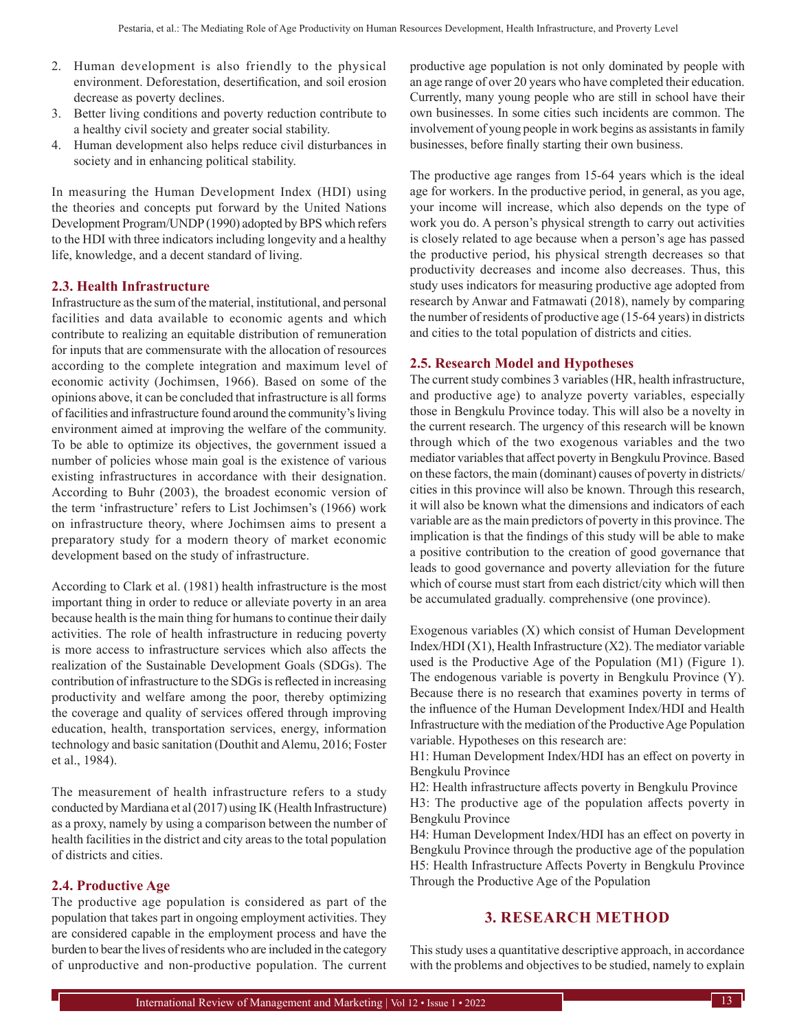- 2. Human development is also friendly to the physical environment. Deforestation, desertification, and soil erosion decrease as poverty declines.
- 3. Better living conditions and poverty reduction contribute to a healthy civil society and greater social stability.
- 4. Human development also helps reduce civil disturbances in society and in enhancing political stability.

In measuring the Human Development Index (HDI) using the theories and concepts put forward by the United Nations Development Program/UNDP (1990) adopted by BPS which refers to the HDI with three indicators including longevity and a healthy life, knowledge, and a decent standard of living.

## **2.3. Health Infrastructure**

Infrastructure as the sum of the material, institutional, and personal facilities and data available to economic agents and which contribute to realizing an equitable distribution of remuneration for inputs that are commensurate with the allocation of resources according to the complete integration and maximum level of economic activity (Jochimsen, 1966). Based on some of the opinions above, it can be concluded that infrastructure is all forms of facilities and infrastructure found around the community's living environment aimed at improving the welfare of the community. To be able to optimize its objectives, the government issued a number of policies whose main goal is the existence of various existing infrastructures in accordance with their designation. According to Buhr (2003), the broadest economic version of the term 'infrastructure' refers to List Jochimsen's (1966) work on infrastructure theory, where Jochimsen aims to present a preparatory study for a modern theory of market economic development based on the study of infrastructure.

According to Clark et al. (1981) health infrastructure is the most important thing in order to reduce or alleviate poverty in an area because health is the main thing for humans to continue their daily activities. The role of health infrastructure in reducing poverty is more access to infrastructure services which also affects the realization of the Sustainable Development Goals (SDGs). The contribution of infrastructure to the SDGs is reflected in increasing productivity and welfare among the poor, thereby optimizing the coverage and quality of services offered through improving education, health, transportation services, energy, information technology and basic sanitation (Douthit and Alemu, 2016; Foster et al., 1984).

The measurement of health infrastructure refers to a study conducted by Mardiana et al (2017) using IK (Health Infrastructure) as a proxy, namely by using a comparison between the number of health facilities in the district and city areas to the total population of districts and cities.

#### **2.4. Productive Age**

The productive age population is considered as part of the population that takes part in ongoing employment activities. They are considered capable in the employment process and have the burden to bear the lives of residents who are included in the category of unproductive and non-productive population. The current

productive age population is not only dominated by people with an age range of over 20 years who have completed their education. Currently, many young people who are still in school have their own businesses. In some cities such incidents are common. The involvement of young people in work begins as assistants in family businesses, before finally starting their own business.

The productive age ranges from 15-64 years which is the ideal age for workers. In the productive period, in general, as you age, your income will increase, which also depends on the type of work you do. A person's physical strength to carry out activities is closely related to age because when a person's age has passed the productive period, his physical strength decreases so that productivity decreases and income also decreases. Thus, this study uses indicators for measuring productive age adopted from research by Anwar and Fatmawati (2018), namely by comparing the number of residents of productive age (15-64 years) in districts and cities to the total population of districts and cities.

#### **2.5. Research Model and Hypotheses**

The current study combines 3 variables (HR, health infrastructure, and productive age) to analyze poverty variables, especially those in Bengkulu Province today. This will also be a novelty in the current research. The urgency of this research will be known through which of the two exogenous variables and the two mediator variables that affect poverty in Bengkulu Province. Based on these factors, the main (dominant) causes of poverty in districts/ cities in this province will also be known. Through this research, it will also be known what the dimensions and indicators of each variable are as the main predictors of poverty in this province. The implication is that the findings of this study will be able to make a positive contribution to the creation of good governance that leads to good governance and poverty alleviation for the future which of course must start from each district/city which will then be accumulated gradually. comprehensive (one province).

Exogenous variables (X) which consist of Human Development Index/HDI (X1), Health Infrastructure (X2). The mediator variable used is the Productive Age of the Population (M1) (Figure 1). The endogenous variable is poverty in Bengkulu Province (Y). Because there is no research that examines poverty in terms of the influence of the Human Development Index/HDI and Health Infrastructure with the mediation of the Productive Age Population variable. Hypotheses on this research are:

H1: Human Development Index/HDI has an effect on poverty in Bengkulu Province

H2: Health infrastructure affects poverty in Bengkulu Province H3: The productive age of the population affects poverty in Bengkulu Province

H4: Human Development Index/HDI has an effect on poverty in Bengkulu Province through the productive age of the population H5: Health Infrastructure Affects Poverty in Bengkulu Province Through the Productive Age of the Population

## **3. RESEARCH METHOD**

This study uses a quantitative descriptive approach, in accordance with the problems and objectives to be studied, namely to explain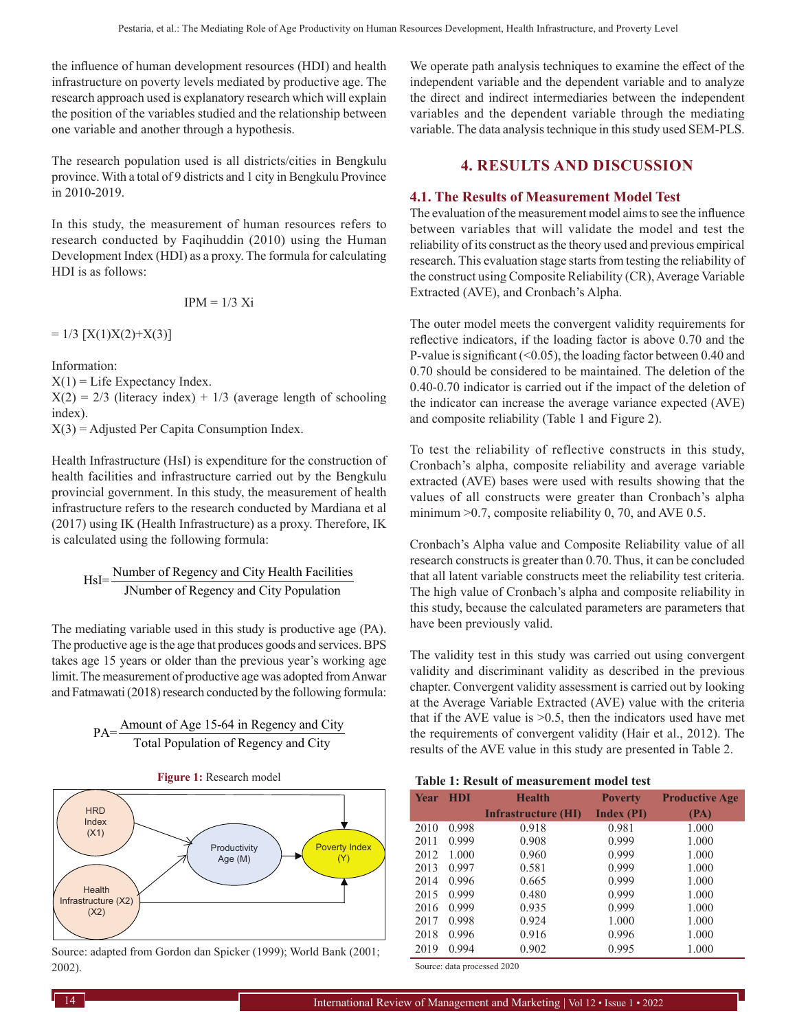the influence of human development resources (HDI) and health infrastructure on poverty levels mediated by productive age. The research approach used is explanatory research which will explain the position of the variables studied and the relationship between one variable and another through a hypothesis.

The research population used is all districts/cities in Bengkulu province. With a total of 9 districts and 1 city in Bengkulu Province in 2010-2019.

In this study, the measurement of human resources refers to research conducted by Faqihuddin (2010) using the Human Development Index (HDI) as a proxy. The formula for calculating HDI is as follows:

$$
IPM = 1/3 \text{ Xi}
$$

 $= 1/3$  [X(1)X(2)+X(3)]

Information:

 $X(1) =$  Life Expectancy Index.

 $X(2) = 2/3$  (literacy index) + 1/3 (average length of schooling index).

 $X(3) =$  Adjusted Per Capita Consumption Index.

Health Infrastructure (HsI) is expenditure for the construction of health facilities and infrastructure carried out by the Bengkulu provincial government. In this study, the measurement of health infrastructure refers to the research conducted by Mardiana et al (2017) using IK (Health Infrastructure) as a proxy. Therefore, IK is calculated using the following formula:

HsI= Number of Regency and City Health Facilities<br>
INumber of Regency and City Population

The mediating variable used in this study is productive age (PA). The productive age is the age that produces goods and services. BPS takes age 15 years or older than the previous year's working age limit. The measurement of productive age was adopted from Anwar and Fatmawati (2018) research conducted by the following formula:

PA= $\frac{\text{Amount of Age 15-64 in Regency and City}}{\text{Total Population of Regency and City}}$ 





Source: adapted from Gordon dan Spicker (1999); World Bank (2001; 2002).

We operate path analysis techniques to examine the effect of the independent variable and the dependent variable and to analyze the direct and indirect intermediaries between the independent variables and the dependent variable through the mediating variable. The data analysis technique in this study used SEM-PLS.

## **4. RESULTS AND DISCUSSION**

## **4.1. The Results of Measurement Model Test**

The evaluation of the measurement model aims to see the influence between variables that will validate the model and test the reliability of its construct as the theory used and previous empirical research. This evaluation stage starts from testing the reliability of the construct using Composite Reliability (CR), Average Variable Extracted (AVE), and Cronbach's Alpha.

The outer model meets the convergent validity requirements for reflective indicators, if the loading factor is above 0.70 and the P-value is significant  $($  < 0.05), the loading factor between 0.40 and 0.70 should be considered to be maintained. The deletion of the 0.40-0.70 indicator is carried out if the impact of the deletion of the indicator can increase the average variance expected (AVE) and composite reliability (Table 1 and Figure 2).

To test the reliability of reflective constructs in this study, Cronbach's alpha, composite reliability and average variable extracted (AVE) bases were used with results showing that the values of all constructs were greater than Cronbach's alpha minimum > 0.7, composite reliability 0, 70, and AVE 0.5.

Cronbach's Alpha value and Composite Reliability value of all research constructs is greater than 0.70. Thus, it can be concluded that all latent variable constructs meet the reliability test criteria. The high value of Cronbach's alpha and composite reliability in this study, because the calculated parameters are parameters that have been previously valid.

The validity test in this study was carried out using convergent validity and discriminant validity as described in the previous chapter. Convergent validity assessment is carried out by looking at the Average Variable Extracted (AVE) value with the criteria that if the AVE value is  $>0.5$ , then the indicators used have met the requirements of convergent validity (Hair et al., 2012). The results of the AVE value in this study are presented in Table 2.

| Table 1: Result of measurement model test |  |
|-------------------------------------------|--|
|-------------------------------------------|--|

| <b>Year</b> | <b>HDI</b> | <b>Health</b>       | <b>Poverty</b>    | <b>Productive Age</b> |
|-------------|------------|---------------------|-------------------|-----------------------|
|             |            | Infrastructure (HI) | <b>Index (PI)</b> | (PA)                  |
| 2010        | 0.998      | 0.918               | 0.981             | 1.000                 |
| 2011        | 0.999      | 0.908               | 0.999             | 1.000                 |
| 2012        | 1.000      | 0.960               | 0.999             | 1.000                 |
| 2013        | 0.997      | 0.581               | 0.999             | 1.000                 |
| 2014        | 0.996      | 0.665               | 0.999             | 1.000                 |
| 2015        | 0.999      | 0.480               | 0.999             | 1.000                 |
| 2016        | 0.999      | 0.935               | 0.999             | 1.000                 |
| 2017        | 0.998      | 0.924               | 1.000             | 1.000                 |
| 2018        | 0.996      | 0.916               | 0.996             | 1.000                 |
| 2019        | 0.994      | 0.902               | 0.995             | 1.000                 |

Source: data processed 2020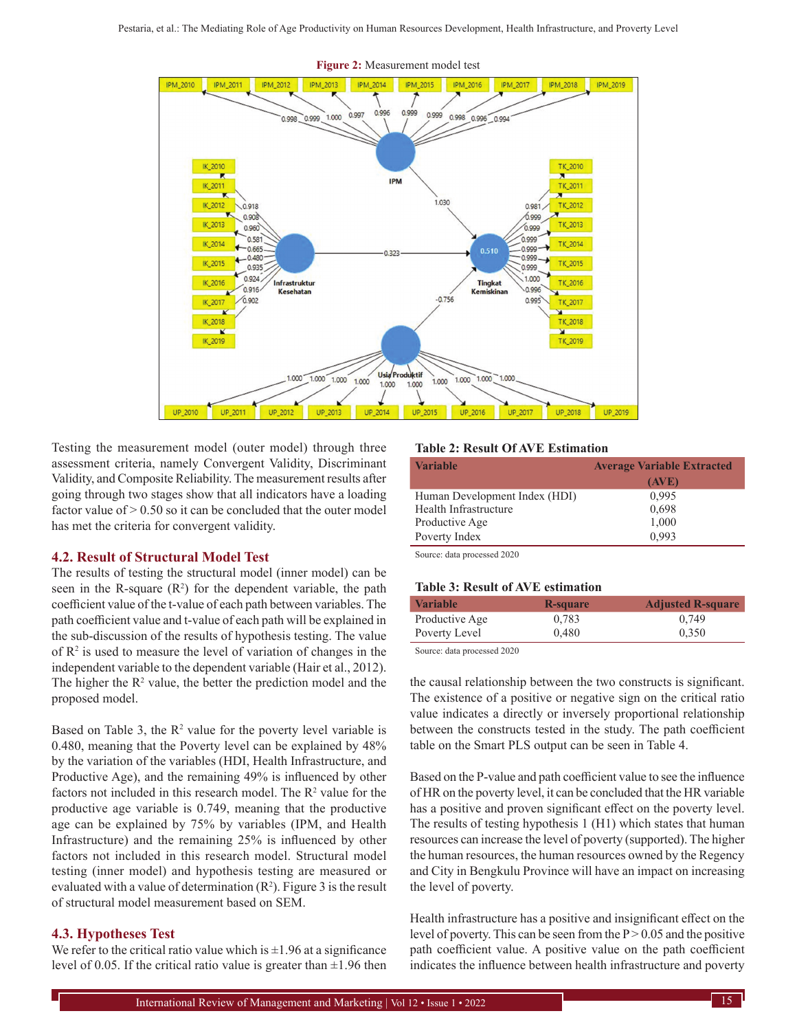

Testing the measurement model (outer model) through three assessment criteria, namely Convergent Validity, Discriminant Validity, and Composite Reliability. The measurement results after going through two stages show that all indicators have a loading factor value of  $> 0.50$  so it can be concluded that the outer model has met the criteria for convergent validity.

#### **4.2. Result of Structural Model Test**

The results of testing the structural model (inner model) can be seen in the R-square  $(R^2)$  for the dependent variable, the path coefficient value of the t-value of each path between variables. The path coefficient value and t-value of each path will be explained in the sub-discussion of the results of hypothesis testing. The value of  $\mathbb{R}^2$  is used to measure the level of variation of changes in the independent variable to the dependent variable (Hair et al., 2012). The higher the  $R<sup>2</sup>$  value, the better the prediction model and the proposed model.

Based on Table 3, the  $R^2$  value for the poverty level variable is 0.480, meaning that the Poverty level can be explained by 48% by the variation of the variables (HDI, Health Infrastructure, and Productive Age), and the remaining 49% is influenced by other factors not included in this research model. The  $\mathbb{R}^2$  value for the productive age variable is 0.749, meaning that the productive age can be explained by 75% by variables (IPM, and Health Infrastructure) and the remaining 25% is influenced by other factors not included in this research model. Structural model testing (inner model) and hypothesis testing are measured or evaluated with a value of determination  $(R^2)$ . Figure 3 is the result of structural model measurement based on SEM.

#### **4.3. Hypotheses Test**

We refer to the critical ratio value which is  $\pm 1.96$  at a significance level of 0.05. If the critical ratio value is greater than  $\pm 1.96$  then

#### **Table 2: Result Of AVE Estimation**

| <b>Variable</b>               | <b>Average Variable Extracted</b> |  |
|-------------------------------|-----------------------------------|--|
|                               | (AVE)                             |  |
| Human Development Index (HDI) | 0,995                             |  |
| Health Infrastructure         | 0,698                             |  |
| Productive Age                | 1,000                             |  |
| Poverty Index                 | 0.993                             |  |

Source: data processed 2020

#### **Table 3: Result of AVE estimation**

| <b>Variable</b> | R-square | <b>Adjusted R-square</b> |
|-----------------|----------|--------------------------|
| Productive Age  | 0.783    | 0.749                    |
| Poverty Level   | 0.480    | 0.350                    |

Source: data processed 2020

the causal relationship between the two constructs is significant. The existence of a positive or negative sign on the critical ratio value indicates a directly or inversely proportional relationship between the constructs tested in the study. The path coefficient table on the Smart PLS output can be seen in Table 4.

Based on the P-value and path coefficient value to see the influence of HR on the poverty level, it can be concluded that the HR variable has a positive and proven significant effect on the poverty level. The results of testing hypothesis 1 (H1) which states that human resources can increase the level of poverty (supported). The higher the human resources, the human resources owned by the Regency and City in Bengkulu Province will have an impact on increasing the level of poverty.

Health infrastructure has a positive and insignificant effect on the level of poverty. This can be seen from the  $P > 0.05$  and the positive path coefficient value. A positive value on the path coefficient indicates the influence between health infrastructure and poverty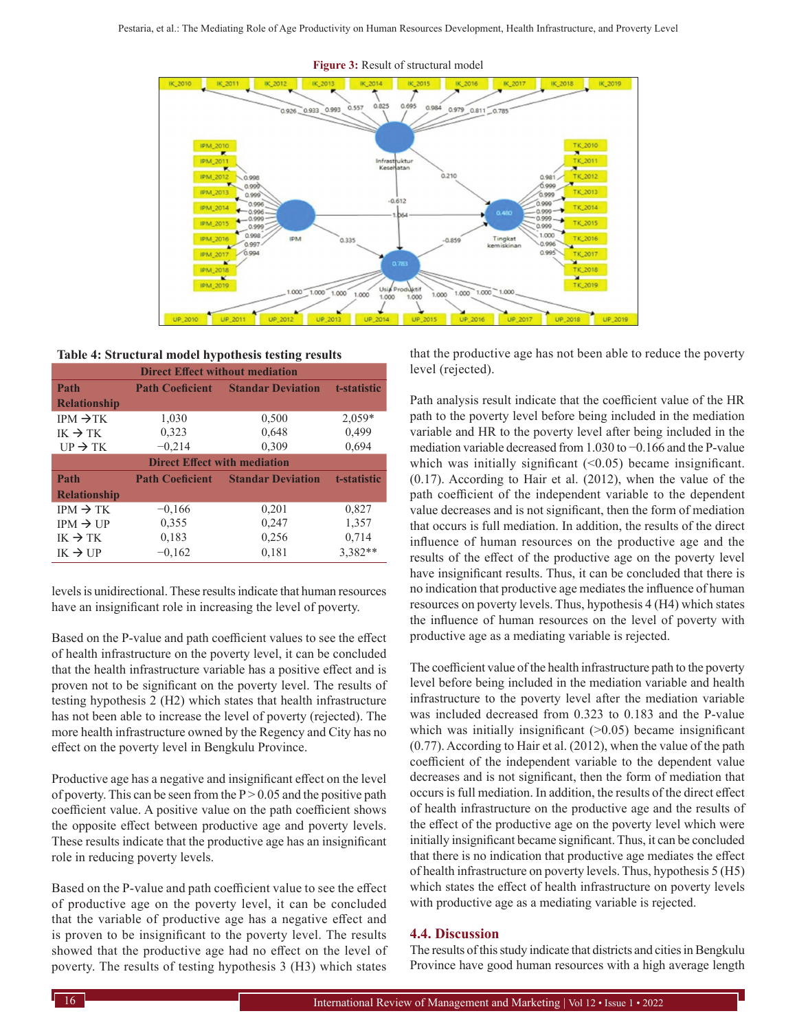

#### **Table 4: Structural model hypothesis testing results**

| <b>Direct Effect without mediation</b> |                        |                          |             |  |  |
|----------------------------------------|------------------------|--------------------------|-------------|--|--|
| Path                                   | <b>Path Coeficient</b> | <b>Standar Deviation</b> | t-statistic |  |  |
| <b>Relationship</b>                    |                        |                          |             |  |  |
| $IPM \rightarrow TK$                   | 1,030                  | 0,500                    | $2,059*$    |  |  |
| $IK \rightarrow TK$                    | 0,323                  | 0,648                    | 0,499       |  |  |
| $UP \rightarrow TK$                    | $-0,214$               | 0,309                    | 0,694       |  |  |
| <b>Direct Effect with mediation</b>    |                        |                          |             |  |  |
| Path                                   | <b>Path Coeficient</b> | <b>Standar Deviation</b> | t-statistic |  |  |
| <b>Relationship</b>                    |                        |                          |             |  |  |
| $IPM \rightarrow TK$                   | $-0,166$               | 0,201                    | 0,827       |  |  |
| $IPM \rightarrow UP$                   | 0,355                  | 0,247                    | 1,357       |  |  |
| $IK \rightarrow TK$                    | 0,183                  | 0,256                    | 0,714       |  |  |
| $IK \rightarrow UP$                    | $-0,162$               | 0,181                    | 3,382**     |  |  |

levels is unidirectional. These results indicate that human resources have an insignificant role in increasing the level of poverty.

Based on the P-value and path coefficient values to see the effect of health infrastructure on the poverty level, it can be concluded that the health infrastructure variable has a positive effect and is proven not to be significant on the poverty level. The results of testing hypothesis 2 (H2) which states that health infrastructure has not been able to increase the level of poverty (rejected). The more health infrastructure owned by the Regency and City has no effect on the poverty level in Bengkulu Province.

Productive age has a negative and insignificant effect on the level of poverty. This can be seen from the  $P > 0.05$  and the positive path coefficient value. A positive value on the path coefficient shows the opposite effect between productive age and poverty levels. These results indicate that the productive age has an insignificant role in reducing poverty levels.

Based on the P-value and path coefficient value to see the effect of productive age on the poverty level, it can be concluded that the variable of productive age has a negative effect and is proven to be insignificant to the poverty level. The results showed that the productive age had no effect on the level of poverty. The results of testing hypothesis 3 (H3) which states

that the productive age has not been able to reduce the poverty level (rejected).

Path analysis result indicate that the coefficient value of the HR path to the poverty level before being included in the mediation variable and HR to the poverty level after being included in the mediation variable decreased from 1.030 to −0.166 and the P-value which was initially significant  $($  < 0.05) became insignificant. (0.17). According to Hair et al. (2012), when the value of the path coefficient of the independent variable to the dependent value decreases and is not significant, then the form of mediation that occurs is full mediation. In addition, the results of the direct influence of human resources on the productive age and the results of the effect of the productive age on the poverty level have insignificant results. Thus, it can be concluded that there is no indication that productive age mediates the influence of human resources on poverty levels. Thus, hypothesis 4 (H4) which states the influence of human resources on the level of poverty with productive age as a mediating variable is rejected.

The coefficient value of the health infrastructure path to the poverty level before being included in the mediation variable and health infrastructure to the poverty level after the mediation variable was included decreased from 0.323 to 0.183 and the P-value which was initially insignificant  $(>0.05)$  became insignificant (0.77). According to Hair et al. (2012), when the value of the path coefficient of the independent variable to the dependent value decreases and is not significant, then the form of mediation that occurs is full mediation. In addition, the results of the direct effect of health infrastructure on the productive age and the results of the effect of the productive age on the poverty level which were initially insignificant became significant. Thus, it can be concluded that there is no indication that productive age mediates the effect of health infrastructure on poverty levels. Thus, hypothesis 5 (H5) which states the effect of health infrastructure on poverty levels with productive age as a mediating variable is rejected.

#### **4.4. Discussion**

The results of this study indicate that districts and cities in Bengkulu Province have good human resources with a high average length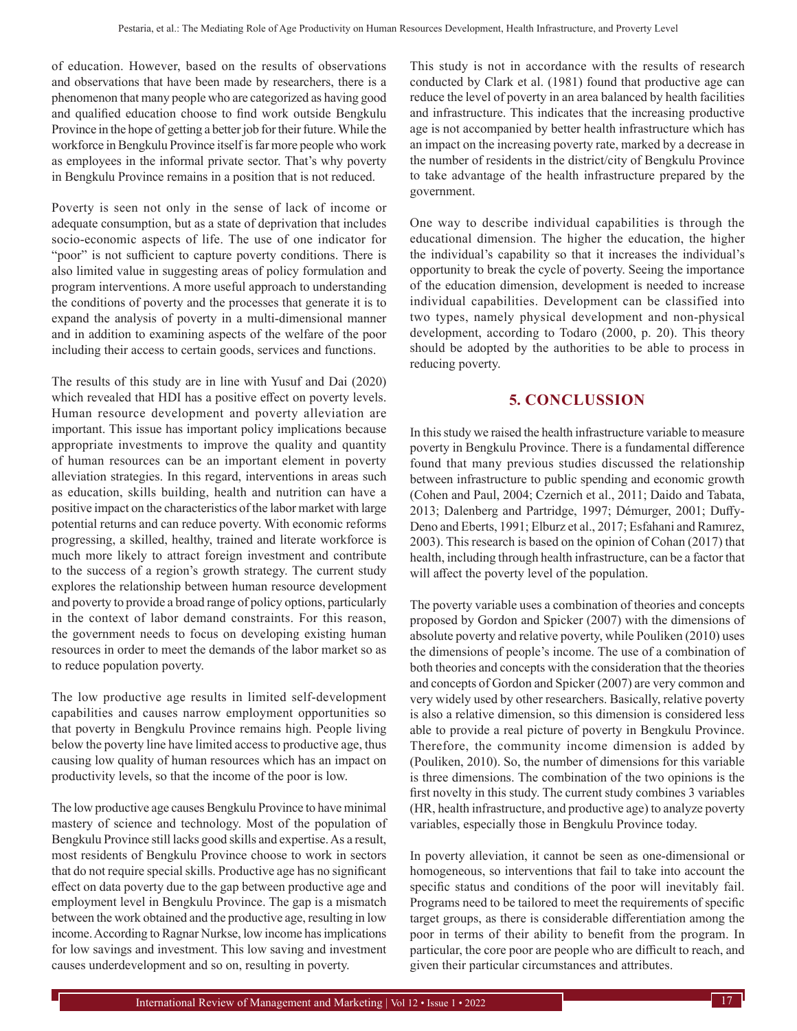of education. However, based on the results of observations and observations that have been made by researchers, there is a phenomenon that many people who are categorized as having good and qualified education choose to find work outside Bengkulu Province in the hope of getting a better job for their future. While the workforce in Bengkulu Province itself is far more people who work as employees in the informal private sector. That's why poverty in Bengkulu Province remains in a position that is not reduced.

Poverty is seen not only in the sense of lack of income or adequate consumption, but as a state of deprivation that includes socio-economic aspects of life. The use of one indicator for "poor" is not sufficient to capture poverty conditions. There is also limited value in suggesting areas of policy formulation and program interventions. A more useful approach to understanding the conditions of poverty and the processes that generate it is to expand the analysis of poverty in a multi-dimensional manner and in addition to examining aspects of the welfare of the poor including their access to certain goods, services and functions.

The results of this study are in line with Yusuf and Dai (2020) which revealed that HDI has a positive effect on poverty levels. Human resource development and poverty alleviation are important. This issue has important policy implications because appropriate investments to improve the quality and quantity of human resources can be an important element in poverty alleviation strategies. In this regard, interventions in areas such as education, skills building, health and nutrition can have a positive impact on the characteristics of the labor market with large potential returns and can reduce poverty. With economic reforms progressing, a skilled, healthy, trained and literate workforce is much more likely to attract foreign investment and contribute to the success of a region's growth strategy. The current study explores the relationship between human resource development and poverty to provide a broad range of policy options, particularly in the context of labor demand constraints. For this reason, the government needs to focus on developing existing human resources in order to meet the demands of the labor market so as to reduce population poverty.

The low productive age results in limited self-development capabilities and causes narrow employment opportunities so that poverty in Bengkulu Province remains high. People living below the poverty line have limited access to productive age, thus causing low quality of human resources which has an impact on productivity levels, so that the income of the poor is low.

The low productive age causes Bengkulu Province to have minimal mastery of science and technology. Most of the population of Bengkulu Province still lacks good skills and expertise. As a result, most residents of Bengkulu Province choose to work in sectors that do not require special skills. Productive age has no significant effect on data poverty due to the gap between productive age and employment level in Bengkulu Province. The gap is a mismatch between the work obtained and the productive age, resulting in low income. According to Ragnar Nurkse, low income has implications for low savings and investment. This low saving and investment causes underdevelopment and so on, resulting in poverty.

This study is not in accordance with the results of research conducted by Clark et al. (1981) found that productive age can reduce the level of poverty in an area balanced by health facilities and infrastructure. This indicates that the increasing productive age is not accompanied by better health infrastructure which has an impact on the increasing poverty rate, marked by a decrease in the number of residents in the district/city of Bengkulu Province to take advantage of the health infrastructure prepared by the government.

One way to describe individual capabilities is through the educational dimension. The higher the education, the higher the individual's capability so that it increases the individual's opportunity to break the cycle of poverty. Seeing the importance of the education dimension, development is needed to increase individual capabilities. Development can be classified into two types, namely physical development and non-physical development, according to Todaro (2000, p. 20). This theory should be adopted by the authorities to be able to process in reducing poverty.

## **5. CONCLUSSION**

In this study we raised the health infrastructure variable to measure poverty in Bengkulu Province. There is a fundamental difference found that many previous studies discussed the relationship between infrastructure to public spending and economic growth (Cohen and Paul, 2004; Czernich et al., 2011; Daido and Tabata, 2013; Dalenberg and Partridge, 1997; Démurger, 2001; Duffy-Deno and Eberts, 1991; Elburz et al., 2017; Esfahani and Ramırez, 2003). This research is based on the opinion of Cohan (2017) that health, including through health infrastructure, can be a factor that will affect the poverty level of the population.

The poverty variable uses a combination of theories and concepts proposed by Gordon and Spicker (2007) with the dimensions of absolute poverty and relative poverty, while Pouliken (2010) uses the dimensions of people's income. The use of a combination of both theories and concepts with the consideration that the theories and concepts of Gordon and Spicker (2007) are very common and very widely used by other researchers. Basically, relative poverty is also a relative dimension, so this dimension is considered less able to provide a real picture of poverty in Bengkulu Province. Therefore, the community income dimension is added by (Pouliken, 2010). So, the number of dimensions for this variable is three dimensions. The combination of the two opinions is the first novelty in this study. The current study combines 3 variables (HR, health infrastructure, and productive age) to analyze poverty variables, especially those in Bengkulu Province today.

In poverty alleviation, it cannot be seen as one-dimensional or homogeneous, so interventions that fail to take into account the specific status and conditions of the poor will inevitably fail. Programs need to be tailored to meet the requirements of specific target groups, as there is considerable differentiation among the poor in terms of their ability to benefit from the program. In particular, the core poor are people who are difficult to reach, and given their particular circumstances and attributes.